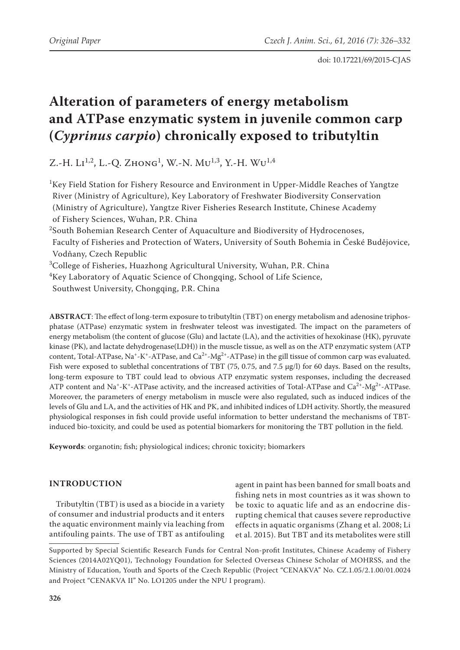# **Alteration of parameters of energy metabolism and ATPase enzymatic system in juvenile common carp (***Cyprinus carpio***) chronically exposed to tributyltin**

Z.-H.  $\text{Li}^{1,2}$ , L.-Q. Zhong<sup>1</sup>, W.-N. Mu<sup>1,3</sup>, Y.-H. Wu<sup>1,4</sup>

<sup>1</sup>Key Field Station for Fishery Resource and Environment in Upper-Middle Reaches of Yangtze River (Ministry of Agriculture), Key Laboratory of Freshwater Biodiversity Conservation (Ministry of Agriculture), Yangtze River Fisheries Research Institute, Chinese Academy of Fishery Sciences, Wuhan, P.R. China

<sup>2</sup>South Bohemian Research Center of Aquaculture and Biodiversity of Hydrocenoses, Faculty of Fisheries and Protection of Waters, University of South Bohemia in České Budějovice, Vodňany, Czech Republic

 ${}^{3}$ College of Fisheries, Huazhong Agricultural University, Wuhan, P.R. China

4 Key Laboratory of Aquatic Science of Chongqing, School of Life Science,

Southwest University, Chongqing, P.R. China

**ABSTRACT**: The effect of long-term exposure to tributyltin (TBT) on energy metabolism and adenosine triphosphatase (ATPase) enzymatic system in freshwater teleost was investigated. The impact on the parameters of energy metabolism (the content of glucose (Glu) and lactate (LA), and the activities of hexokinase (HK), pyruvate kinase (PK), and lactate dehydrogenase(LDH)) in the muscle tissue, as well as on the ATP enzymatic system (ATP content, Total-ATPase, Na<sup>+</sup>-K<sup>+</sup>-ATPase, and Ca<sup>2+</sup>-Mg<sup>2+</sup>-ATPase) in the gill tissue of common carp was evaluated. Fish were exposed to sublethal concentrations of TBT (75, 0.75, and 7.5 µg/l) for 60 days. Based on the results, long-term exposure to TBT could lead to obvious ATP enzymatic system responses, including the decreased ATP content and Na<sup>+</sup>-K<sup>+</sup>-ATPase activity, and the increased activities of Total-ATPase and Ca<sup>2+</sup>-Mg<sup>2+</sup>-ATPase. Moreover, the parameters of energy metabolism in muscle were also regulated, such as induced indices of the levels of Glu and LA, and the activities of HK and PK, and inhibited indices of LDH activity. Shortly, the measured physiological responses in fish could provide useful information to better understand the mechanisms of TBTinduced bio-toxicity, and could be used as potential biomarkers for monitoring the TBT pollution in the field.

**Keywords**: organotin; fish; physiological indices; chronic toxicity; biomarkers

# **INTRODUCTION**

Tributyltin (TBT) is used as a biocide in a variety of consumer and industrial products and it enters the aquatic environment mainly via leaching from antifouling paints. The use of TBT as antifouling

agent in paint has been banned for small boats and fishing nets in most countries as it was shown to be toxic to aquatic life and as an endocrine disrupting chemical that causes severe reproductive effects in aquatic organisms (Zhang et al. 2008; Li et al. 2015). But TBT and its metabolites were still

Supported by Special Scientific Research Funds for Central Non-profit Institutes, Chinese Academy of Fishery Sciences (2014A02YQ01), Technology Foundation for Selected Overseas Chinese Scholar of MOHRSS, and the Ministry of Education, Youth and Sports of the Czech Republic (Project "CENAKVA" No. CZ.1.05/2.1.00/01.0024 and Project "CENAKVA II" No. LO1205 under the NPU I program).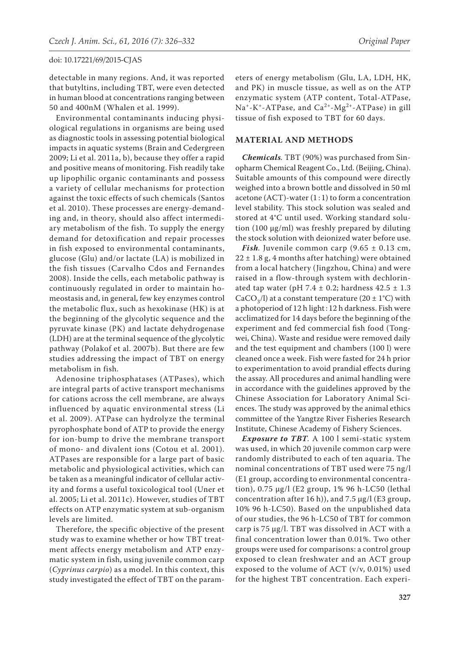detectable in many regions. And, it was reported that butyltins, including TBT, were even detected in human blood at concentrations ranging between 50 and 400nM (Whalen et al. 1999).

Environmental contaminants inducing physiological regulations in organisms are being used as diagnostic tools in assessing potential biological impacts in aquatic systems (Brain and Cedergreen 2009; Li et al. 2011a, b), because they offer a rapid and positive means of monitoring. Fish readily take up lipophilic organic contaminants and possess a variety of cellular mechanisms for protection against the toxic effects of such chemicals (Santos et al. 2010). These processes are energy-demanding and, in theory, should also affect intermediary metabolism of the fish. To supply the energy demand for detoxification and repair processes in fish exposed to environmental contaminants, glucose (Glu) and/or lactate (LA) is mobilized in the fish tissues (Carvalho Cdos and Fernandes 2008). Inside the cells, each metabolic pathway is continuously regulated in order to maintain homeostasis and, in general, few key enzymes control the metabolic flux, such as hexokinase (HK) is at the beginning of the glycolytic sequence and the pyruvate kinase (PK) and lactate dehydrogenase (LDH) are at the terminal sequence of the glycolytic pathway (Polakof et al. 2007b). But there are few studies addressing the impact of TBT on energy metabolism in fish.

Adenosine triphosphatases (ATPases), which are integral parts of active transport mechanisms for cations across the cell membrane, are always influenced by aquatic environmental stress (Li et al. 2009). ATPase can hydrolyze the terminal pyrophosphate bond of ATP to provide the energy for ion-bump to drive the membrane transport of mono- and divalent ions (Cotou et al. 2001). ATPases are responsible for a large part of basic metabolic and physiological activities, which can be taken as a meaningful indicator of cellular activity and forms a useful toxicological tool (Uner et al. 2005; Li et al. 2011c). However, studies of TBT effects on ATP enzymatic system at sub-organism levels are limited.

Therefore, the specific objective of the present study was to examine whether or how TBT treatment affects energy metabolism and ATP enzymatic system in fish, using juvenile common carp (*Cyprinus carpio*) as a model. In this context, this study investigated the effect of TBT on the param-

eters of energy metabolism (Glu, LA, LDH, HK, and PK) in muscle tissue, as well as on the ATP enzymatic system (ATP content, Total-ATPase,  $Na^+K^+$ -ATPase, and  $Ca^{2+}$ - $Mg^{2+}$ -ATPase) in gill tissue of fish exposed to TBT for 60 days.

## **MATERIAL AND METHODS**

*Chemicals.* TBT (90%) was purchased from Sinopharm Chemical Reagent Co., Ltd. (Beijing, China). Suitable amounts of this compound were directly weighed into a brown bottle and dissolved in 50 ml acetone (ACT)-water  $(1:1)$  to form a concentration level stability. This stock solution was sealed and stored at 4°C until used. Working standard solution (100 μg/ml) was freshly prepared by diluting the stock solution with deionized water before use.

*Fish.* Juvenile common carp  $(9.65 \pm 0.13 \text{ cm})$  $22 \pm 1.8$  g, 4 months after hatching) were obtained from a local hatchery (Jingzhou, China) and were raised in a flow-through system with dechlorinated tap water (pH 7.4  $\pm$  0.2; hardness 42.5  $\pm$  1.3 CaCO<sub>3</sub>/l) at a constant temperature (20  $\pm$  1°C) with a photoperiod of 12 h light: 12 h darkness. Fish were acclimatized for 14 days before the beginning of the experiment and fed commercial fish food (Tongwei, China). Waste and residue were removed daily and the test equipment and chambers (100 l) were cleaned once a week. Fish were fasted for 24 h prior to experimentation to avoid prandial effects during the assay. All procedures and animal handling were in accordance with the guidelines approved by the Chinese Association for Laboratory Animal Sciences. The study was approved by the animal ethics committee of the Yangtze River Fisheries Research Institute, Chinese Academy of Fishery Sciences.

*Exposure to TBT.* A 100 l semi-static system was used, in which 20 juvenile common carp were randomly distributed to each of ten aquaria. The nominal concentrations of TBT used were 75 ng/l (E1 group, according to environmental concentration), 0.75 μg/l (E2 group, 1% 96 h-LC50 (lethal concentration after 16 h)), and 7.5 μg/l (E3 group, 10% 96 h-LC50). Based on the unpublished data of our studies, the 96 h-LC50 of TBT for common carp is 75 μg/l. TBT was dissolved in ACT with a final concentration lower than 0.01%. Two other groups were used for comparisons: a control group exposed to clean freshwater and an ACT group exposed to the volume of ACT (v/v, 0.01%) used for the highest TBT concentration. Each experi-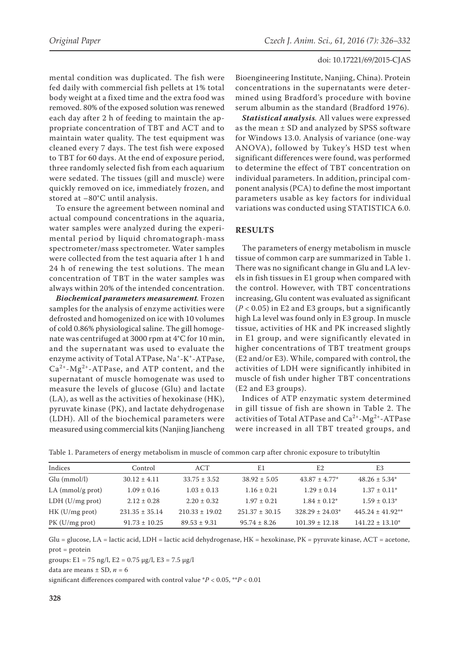mental condition was duplicated. The fish were fed daily with commercial fish pellets at 1% total body weight at a fixed time and the extra food was removed. 80% of the exposed solution was renewed each day after 2 h of feeding to maintain the appropriate concentration of TBT and ACT and to maintain water quality. The test equipment was cleaned every 7 days. The test fish were exposed to TBT for 60 days. At the end of exposure period, three randomly selected fish from each aquarium were sedated. The tissues (gill and muscle) were quickly removed on ice, immediately frozen, and stored at –80°C until analysis.

To ensure the agreement between nominal and actual compound concentrations in the aquaria, water samples were analyzed during the experimental period by liquid chromatograph-mass spectrometer/mass spectrometer. Water samples were collected from the test aquaria after 1 h and 24 h of renewing the test solutions. The mean concentration of TBT in the water samples was always within 20% of the intended concentration.

*Biochemical parameters measurement.* Frozen samples for the analysis of enzyme activities were defrosted and homogenized on ice with 10 volumes of cold 0.86% physiological saline. The gill homogenate was centrifuged at 3000 rpm at 4°C for 10 min, and the supernatant was used to evaluate the enzyme activity of Total ATPase, Na<sup>+</sup>-K<sup>+</sup>-ATPase, Ca2+-Mg2+-ATPase, and ATP content, and the supernatant of muscle homogenate was used to measure the levels of glucose (Glu) and lactate (LA), as well as the activities of hexokinase (HK), pyruvate kinase (PK), and lactate dehydrogenase (LDH). All of the biochemical parameters were measured using commercial kits (Nanjing Jiancheng

Bioengineering Institute, Nanjing, China). Protein concentrations in the supernatants were determined using Bradford's procedure with bovine serum albumin as the standard (Bradford 1976).

*Statistical analysis.* All values were expressed as the mean ± SD and analyzed by SPSS software for Windows 13.0. Analysis of variance (one-way ANOVA), followed by Tukey's HSD test when significant differences were found, was performed to determine the effect of TBT concentration on individual parameters. In addition, principal component analysis (PCA) to define the most important parameters usable as key factors for individual variations was conducted using STATISTICA 6.0.

## **RESULTS**

The parameters of energy metabolism in muscle tissue of common carp are summarized in Table 1. There was no significant change in Glu and LA levels in fish tissues in E1 group when compared with the control. However, with TBT concentrations increasing, Glu content was evaluated as significant  $(P < 0.05)$  in E2 and E3 groups, but a significantly high La level was found only in E3 group. In muscle tissue, activities of HK and PK increased slightly in E1 group, and were significantly elevated in higher concentrations of TBT treatment groups (E2 and/or E3). While, compared with control, the activities of LDH were significantly inhibited in muscle of fish under higher TBT concentrations (E2 and E3 groups).

Indices of ATP enzymatic system determined in gill tissue of fish are shown in Table 2. The activities of Total ATPase and  $Ca^{2+}$ -Mg<sup>2+</sup>-ATPase were increased in all TBT treated groups, and

| Indices            | Control            | ACT                | E1                 | E2                   | E <sub>3</sub>       |
|--------------------|--------------------|--------------------|--------------------|----------------------|----------------------|
| Glu (mmol/l)       | $30.12 \pm 4.11$   | $33.75 \pm 3.52$   | $38.92 \pm 5.05$   | $43.87 \pm 4.77^*$   | $48.26 \pm 5.34^*$   |
| $LA$ (mmol/g prot) | $1.09 \pm 0.16$    | $1.03 \pm 0.13$    | $1.16 \pm 0.21$    | $1.29 \pm 0.14$      | $1.37 \pm 0.11^*$    |
| LDH (U/mg prot)    | $2.12 \pm 0.28$    | $2.20 \pm 0.32$    | $1.97 \pm 0.21$    | $1.84 \pm 0.12^*$    | $1.59 \pm 0.13^*$    |
| $HK$ (U/mg prot)   | $231.35 \pm 35.14$ | $210.33 \pm 19.02$ | $251.37 \pm 30.15$ | $328.29 \pm 24.03^*$ | $445.24 \pm 41.92**$ |
| $PK$ (U/mg prot)   | $91.73 \pm 10.25$  | $89.53 \pm 9.31$   | $95.74 \pm 8.26$   | $101.39 \pm 12.18$   | $141.22 \pm 13.10^*$ |

Table 1. Parameters of energy metabolism in muscle of common carp after chronic exposure to tributyltin

Glu = glucose, LA = lactic acid, LDH = lactic acid dehydrogenase, HK = hexokinase, PK = pyruvate kinase, ACT = acetone, prot = protein

groups:  $E1 = 75$  ng/l,  $E2 = 0.75$   $\mu$ g/l,  $E3 = 7.5$   $\mu$ g/l

data are means  $\pm$  SD,  $n = 6$ 

significant differences compared with control value \**P* < 0.05, \*\**P* < 0.01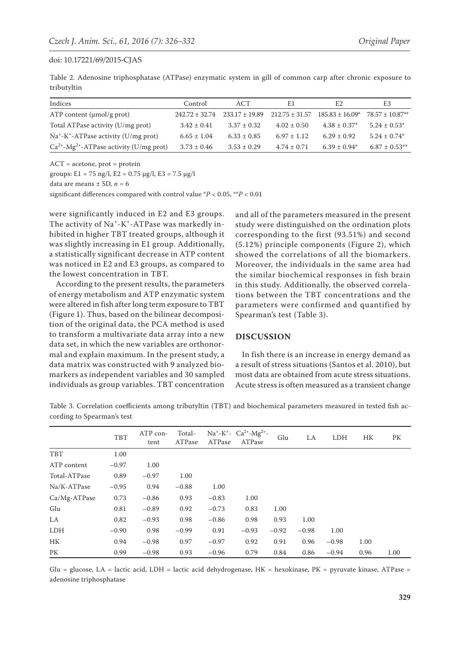Table 2. Adenosine triphosphatase (ATPase) enzymatic system in gill of common carp after chronic exposure to tributyltin

| Indices                                                  | Control            | ACT                | E1                 | E2                   | E <sub>3</sub>       |  |
|----------------------------------------------------------|--------------------|--------------------|--------------------|----------------------|----------------------|--|
| ATP content $(\mu mol/g$ prot)                           | $242.72 \pm 32.74$ | $233.17 \pm 19.89$ | $212.75 \pm 31.57$ | $185.83 \pm 16.09^*$ | $78.57 \pm 10.87$ ** |  |
| Total ATPase activity (U/mg prot)                        | $3.42 \pm 0.41$    | $3.37 \pm 0.32$    | $4.02 \pm 0.50$    | $4.38 \pm 0.37^*$    | $5.24 \pm 0.53^*$    |  |
| $Na^+$ -K <sup>+</sup> -ATPase activity (U/mg prot)      | $6.65 \pm 1.04$    | $6.33 \pm 0.85$    | $6.97 \pm 1.12$    | $6.29 \pm 0.92$      | $5.24 \pm 0.74^*$    |  |
| $Ca^{2+}$ -Mg <sup>2+</sup> -ATPase activity (U/mg prot) | $3.73 \pm 0.46$    | $3.53 \pm 0.29$    | $4.74 \pm 0.71$    | $6.39 \pm 0.94^*$    | $6.87 \pm 0.53**$    |  |

ACT = acetone, prot = protein

groups:  $E1 = 75$  ng/l,  $E2 = 0.75$   $\mu$ g/l,  $E3 = 7.5$   $\mu$ g/l

data are means  $\pm$  SD,  $n = 6$ 

significant differences compared with control value \**P* < 0.05, \*\**P* < 0.01

were significantly induced in E2 and E3 groups. The activity of Na<sup>+</sup>-K<sup>+</sup>-ATPase was markedly inhibited in higher TBT treated groups, although it was slightly increasing in E1 group. Additionally, a statistically significant decrease in ATP content was noticed in E2 and E3 groups, as compared to the lowest concentration in TBT.

According to the present results, the parameters of energy metabolism and ATP enzymatic system were altered in fish after long term exposure to TBT (Figure 1). Thus, based on the bilinear decomposition of the original data, the PCA method is used to transform a multivariate data array into a new data set, in which the new variables are orthonormal and explain maximum. In the present study, a data matrix was constructed with 9 analyzed biomarkers as independent variables and 30 sampled individuals as group variables. TBT concentration

and all of the parameters measured in the present study were distinguished on the ordination plots corresponding to the first (93.51%) and second (5.12%) principle components (Figure 2), which showed the correlations of all the biomarkers. Moreover, the individuals in the same area had the similar biochemical responses in fish brain in this study. Additionally, the observed correlations between the TBT concentrations and the parameters were confirmed and quantified by Spearman's test (Table 3).

# **DISCUSSION**

In fish there is an increase in energy demand as a result of stress situations (Santos et al. 2010), but most data are obtained from acute stress situations. Acute stress is often measured as a transient change

Table 3. Correlation coefficients among tributyltin (TBT) and biochemical parameters measured in tested fish according to Spearman's test

|                | <b>TBT</b> | ATP con-<br>tent | Total-<br>ATPase | ATPase  | $Na^+ - K^+ - Ca^{2+} - Mg^{2+} -$<br>ATPase | Glu     | LA      | <b>LDH</b> | HК   | PК   |
|----------------|------------|------------------|------------------|---------|----------------------------------------------|---------|---------|------------|------|------|
| <b>TBT</b>     | 1.00       |                  |                  |         |                                              |         |         |            |      |      |
| ATP content    | $-0.97$    | 1.00             |                  |         |                                              |         |         |            |      |      |
| Total-ATPase   | 0.89       | $-0.97$          | 1.00             |         |                                              |         |         |            |      |      |
| Na/K-ATPase    | $-0.95$    | 0.94             | $-0.88$          | 1.00    |                                              |         |         |            |      |      |
| $Ca/Mg-ATPase$ | 0.73       | $-0.86$          | 0.93             | $-0.83$ | 1.00                                         |         |         |            |      |      |
| Glu            | 0.81       | $-0.89$          | 0.92             | $-0.73$ | 0.83                                         | 1.00    |         |            |      |      |
| LA             | 0.82       | $-0.93$          | 0.98             | $-0.86$ | 0.98                                         | 0.93    | 1.00    |            |      |      |
| <b>LDH</b>     | $-0.90$    | 0.98             | $-0.99$          | 0.91    | $-0.93$                                      | $-0.92$ | $-0.98$ | 1.00       |      |      |
| HК             | 0.94       | $-0.98$          | 0.97             | $-0.97$ | 0.92                                         | 0.91    | 0.96    | $-0.98$    | 1.00 |      |
| PК             | 0.99       | $-0.98$          | 0.93             | $-0.96$ | 0.79                                         | 0.84    | 0.86    | $-0.94$    | 0.96 | 1.00 |

Glu = glucose, LA = lactic acid, LDH = lactic acid dehydrogenase, HK = hexokinase, PK = pyruvate kinase, ATPase = adenosine triphosphatase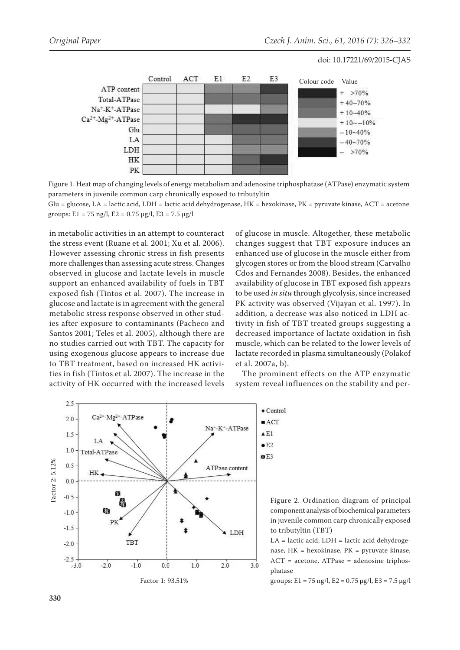

Figure 1. Heat map of changing levels of energy metabolism and adenosine triphosphatase (ATPase) enzymatic system parameters in juvenile common carp chronically exposed to tributyltin

Glu = glucose, LA = lactic acid, LDH = lactic acid dehydrogenase, HK = hexokinase, PK = pyruvate kinase, ACT = acetone groups:  $E1 = 75$  ng/l,  $E2 = 0.75$   $\mu$ g/l,  $E3 = 7.5$   $\mu$ g/l

in metabolic activities in an attempt to counteract the stress event (Ruane et al. 2001; Xu et al. 2006). However assessing chronic stress in fish presents more challenges than assessing acute stress. Changes observed in glucose and lactate levels in muscle support an enhanced availability of fuels in TBT exposed fish (Tintos et al. 2007). The increase in glucose and lactate is in agreement with the general metabolic stress response observed in other studies after exposure to contaminants (Pacheco and Santos 2001; Teles et al. 2005), although there are no studies carried out with TBT. The capacity for using exogenous glucose appears to increase due to TBT treatment, based on increased HK activities in fish (Tintos et al. 2007). The increase in the activity of HK occurred with the increased levels

of glucose in muscle. Altogether, these metabolic changes suggest that TBT exposure induces an enhanced use of glucose in the muscle either from glycogen stores or from the blood stream (Carvalho Cdos and Fernandes 2008). Besides, the enhanced availability of glucose in TBT exposed fish appears to be used *in situ* through glycolysis, since increased PK activity was observed (Vijayan et al. 1997). In addition, a decrease was also noticed in LDH activity in fish of TBT treated groups suggesting a decreased importance of lactate oxidation in fish muscle, which can be related to the lower levels of lactate recorded in plasma simultaneously (Polakof et al. 2007a, b).

The prominent effects on the ATP enzymatic system reveal influences on the stability and per-



Figure 2. Ordination diagram of principal component analysis of biochemical parameters in juvenile common carp chronically exposed to tributyltin (TBT)

 $LA =$  lactic acid,  $LDH =$  lactic acid dehydrogenase, HK = hexokinase, PK = pyruvate kinase, ACT = acetone, ATPase = adenosine triphosphatase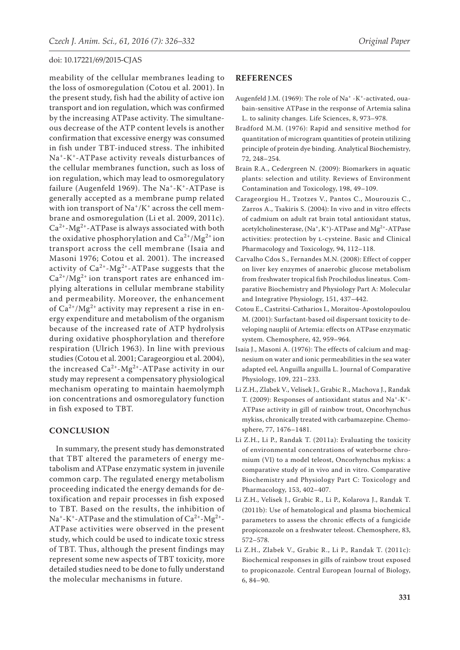meability of the cellular membranes leading to the loss of osmoregulation (Cotou et al. 2001). In the present study, fish had the ability of active ion transport and ion regulation, which was confirmed by the increasing ATPase activity. The simultaneous decrease of the ATP content levels is another confirmation that excessive energy was consumed in fish under TBT-induced stress. The inhibited Na+-K+-ATPase activity reveals disturbances of the cellular membranes function, such as loss of ion regulation, which may lead to osmoregulatory failure (Augenfeld 1969). The  $Na^+K^+ATP$ ase is generally accepted as a membrane pump related with ion transport of  $Na^+/K^+$  across the cell membrane and osmoregulation (Li et al. 2009, 2011c).  $Ca<sup>2+</sup> - Mg<sup>2+</sup> - ATP$ ase is always associated with both the oxidative phosphorylation and  $Ca^{2+}/Mg^{2+}$ ion transport across the cell membrane (Isaia and Masoni 1976; Cotou et al. 2001). The increased activity of  $Ca^{2+}$ - $Mg^{2+}$ -ATPase suggests that the  $Ca^{2+}/Mg^{2+}$  ion transport rates are enhanced implying alterations in cellular membrane stability and permeability. Moreover, the enhancement of  $Ca^{2+}/Mg^{2+}$  activity may represent a rise in energy expenditure and metabolism of the organism because of the increased rate of ATP hydrolysis during oxidative phosphorylation and therefore respiration (Ulrich 1963). In line with previous studies (Cotou et al. 2001; Carageorgiou et al. 2004), the increased  $Ca^{2+}$ -Mg<sup>2+</sup>-ATPase activity in our study may represent a compensatory physiological mechanism operating to maintain haemolymph ion concentrations and osmoregulatory function in fish exposed to TBT.

## **CONCLUSION**

In summary, the present study has demonstrated that TBT altered the parameters of energy metabolism and ATPase enzymatic system in juvenile common carp. The regulated energy metabolism proceeding indicated the energy demands for detoxification and repair processes in fish exposed to TBT. Based on the results, the inhibition of Na<sup>+</sup>-K<sup>+</sup>-ATPase and the stimulation of  $Ca^{2+}$ -Mg<sup>2+</sup>-ATPase activities were observed in the present study, which could be used to indicate toxic stress of TBT. Thus, although the present findings may represent some new aspects of TBT toxicity, more detailed studies need to be done to fully understand the molecular mechanisms in future.

## **REFERENCES**

- Augenfeld J.M. (1969): The role of Na<sup>+</sup> -K<sup>+</sup>-activated, ouabain-sensitive ATPase in the response of Artemia salina L. to salinity changes. Life Sciences, 8, 973–978.
- Bradford M.M. (1976): Rapid and sensitive method for quantitation of microgram quantities of protein utilizing principle of protein dye binding. Analytical Biochemistry, 72, 248–254.
- Brain R.A., Cedergreen N. (2009): Biomarkers in aquatic plants: selection and utility. Reviews of Environment Contamination and Toxicology, 198, 49–109.
- Carageorgiou H., Tzotzes V., Pantos C., Mourouzis C., Zarros A., Tsakiris S. (2004): In vivo and in vitro effects of cadmium on adult rat brain total antioxidant status, acetylcholinesterase,  $(Na^+, K^+)$ -ATPase and Mg<sup>2+</sup>-ATPase activities: protection by l-cysteine. Basic and Clinical Pharmacology and Toxicology, 94, 112–118.
- Carvalho Cdos S., Fernandes M.N. (2008): Effect of copper on liver key enzymes of anaerobic glucose metabolism from freshwater tropical fish Prochilodus lineatus. Comparative Biochemistry and Physiology Part A: Molecular and Integrative Physiology, 151, 437–442.
- Cotou E., Castritsi-Catharios I., Moraitou-Apostolopoulou M. (2001): Surfactant-based oil dispersant toxicity to developing nauplii of Artemia: effects on ATPase enzymatic system. Chemosphere, 42, 959–964.
- Isaia J., Masoni A. (1976): The effects of calcium and magnesium on water and ionic permeabilities in the sea water adapted eel, Anguilla anguilla L. Journal of Comparative Physiology, 109, 221–233.
- Li Z.H., Zlabek V., Velisek J., Grabic R., Machova J., Randak T. (2009): Responses of antioxidant status and Na+-K+- ATPase activity in gill of rainbow trout, Oncorhynchus mykiss, chronically treated with carbamazepine. Chemosphere, 77, 1476–1481.
- Li Z.H., Li P., Randak T. (2011a): Evaluating the toxicity of environmental concentrations of waterborne chromium (VI) to a model teleost, Oncorhynchus mykiss: a comparative study of in vivo and in vitro. Comparative Biochemistry and Physiology Part C: Toxicology and Pharmacology, 153, 402–407.
- Li Z.H., Velisek J., Grabic R., Li P., Kolarova J., Randak T. (2011b): Use of hematological and plasma biochemical parameters to assess the chronic effects of a fungicide propiconazole on a freshwater teleost. Chemosphere, 83, 572–578.
- Li Z.H., Zlabek V., Grabic R., Li P., Randak T. (2011c): Biochemical responses in gills of rainbow trout exposed to propiconazole. Central European Journal of Biology, 6, 84–90.